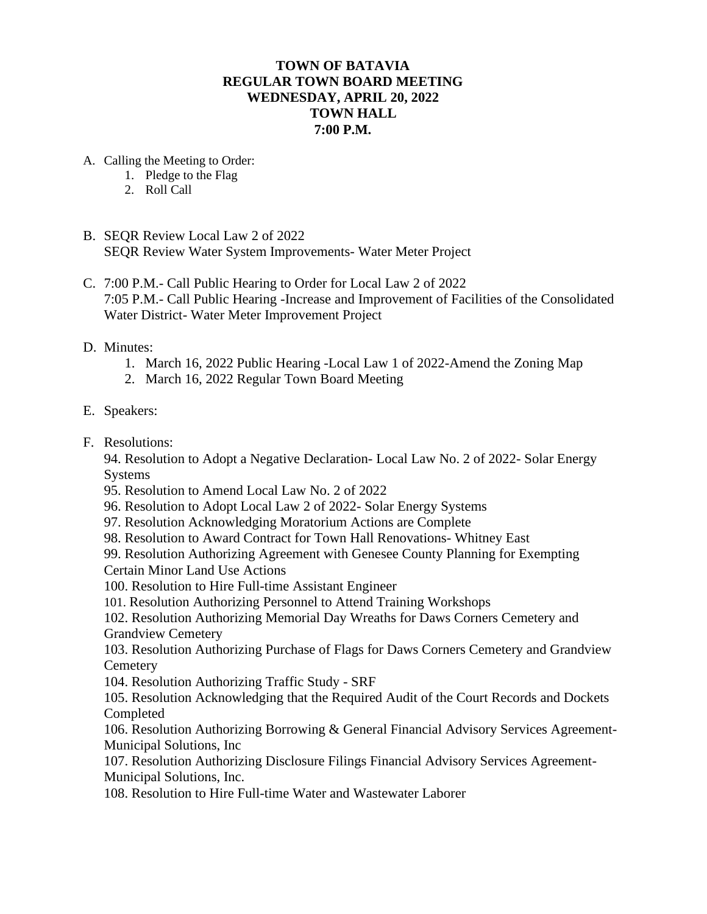## **TOWN OF BATAVIA REGULAR TOWN BOARD MEETING WEDNESDAY, APRIL 20, 2022 TOWN HALL 7:00 P.M.**

- A. Calling the Meeting to Order:
	- 1. Pledge to the Flag
	- 2. Roll Call
- B. SEQR Review Local Law 2 of 2022 SEQR Review Water System Improvements- Water Meter Project
- C. 7:00 P.M.- Call Public Hearing to Order for Local Law 2 of 2022 7:05 P.M.- Call Public Hearing -Increase and Improvement of Facilities of the Consolidated Water District- Water Meter Improvement Project
- D. Minutes:
	- 1. March 16, 2022 Public Hearing -Local Law 1 of 2022-Amend the Zoning Map
	- 2. March 16, 2022 Regular Town Board Meeting
- E. Speakers:
- F. Resolutions:

94. Resolution to Adopt a Negative Declaration- Local Law No. 2 of 2022- Solar Energy Systems

- 95. Resolution to Amend Local Law No. 2 of 2022
- 96. Resolution to Adopt Local Law 2 of 2022- Solar Energy Systems
- 97. Resolution Acknowledging Moratorium Actions are Complete
- 98. Resolution to Award Contract for Town Hall Renovations- Whitney East

99. Resolution Authorizing Agreement with Genesee County Planning for Exempting Certain Minor Land Use Actions

- 100. Resolution to Hire Full-time Assistant Engineer
- 101. Resolution Authorizing Personnel to Attend Training Workshops

102. Resolution Authorizing Memorial Day Wreaths for Daws Corners Cemetery and Grandview Cemetery

103. Resolution Authorizing Purchase of Flags for Daws Corners Cemetery and Grandview **Cemetery** 

104. Resolution Authorizing Traffic Study - SRF

105. Resolution Acknowledging that the Required Audit of the Court Records and Dockets Completed

106. Resolution Authorizing Borrowing & General Financial Advisory Services Agreement-Municipal Solutions, Inc

107. Resolution Authorizing Disclosure Filings Financial Advisory Services Agreement-Municipal Solutions, Inc.

108. Resolution to Hire Full-time Water and Wastewater Laborer